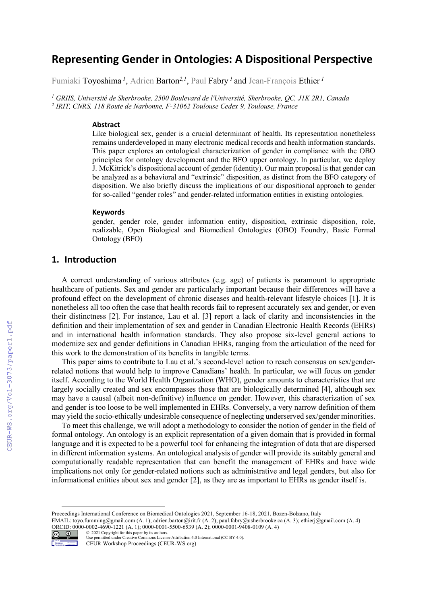# **Representing Gender in Ontologies: A Dispositional Perspective**

Fumiaki Toyoshima *<sup>1</sup>* , Adrien Barton*2,1*, Paul Fabry *<sup>1</sup>*and Jean-François Ethier *<sup>1</sup>*

*<sup>1</sup> GRIIS, Université de Sherbrooke, 2500 Boulevard de l'Université, Sherbrooke, QC, J1K 2R1, Canada <sup>2</sup> IRIT, CNRS, 118 Route de Narbonne, F-31062 Toulouse Cedex 9, Toulouse, France*

#### **Abstract**

Like biological sex, gender is a crucial determinant of health. Its representation nonetheless remains underdeveloped in many electronic medical records and health information standards. This paper explores an ontological characterization of gender in compliance with the OBO principles for ontology development and the BFO upper ontology. In particular, we deploy J. McKitrick's dispositional account of gender (identity). Our main proposal is that gender can be analyzed as a behavioral and "extrinsic" disposition, as distinct from the BFO category of disposition. We also briefly discuss the implications of our dispositional approach to gender for so-called "gender roles" and gender-related information entities in existing ontologies.

#### **Keywords**

gender, gender role, gender information entity, disposition, extrinsic disposition, role, realizable, Open Biological and Biomedical Ontologies (OBO) Foundry, Basic Formal Ontology (BFO)

### **1. Introduction**

A correct understanding of various attributes (e.g. age) of patients is paramount to appropriate healthcare of patients. Sex and gender are particularly important because their differences will have a profound effect on the development of chronic diseases and health-relevant lifestyle choices [1]. It is nonetheless all too often the case that health records fail to represent accurately sex and gender, or even their distinctness [2]. For instance, Lau et al. [3] report a lack of clarity and inconsistencies in the definition and their implementation of sex and gender in Canadian Electronic Health Records (EHRs) and in international health information standards. They also propose six-level general actions to modernize sex and gender definitions in Canadian EHRs, ranging from the articulation of the need for this work to the demonstration of its benefits in tangible terms.

This paper aims to contribute to Lau et al.'s second-level action to reach consensus on sex/genderrelated notions that would help to improve Canadians' health. In particular, we will focus on gender itself. According to the World Health Organization (WHO), gender amounts to characteristics that are largely socially created and sex encompasses those that are biologically determined [4], although sex may have a causal (albeit non-definitive) influence on gender. However, this characterization of sex and gender is too loose to be well implemented in EHRs. Conversely, a very narrow definition of them may yield the socio-ethically undesirable consequence of neglecting underserved sex/gender minorities.

To meet this challenge, we will adopt a methodology to consider the notion of gender in the field of formal ontology. An ontology is an explicit representation of a given domain that is provided in formal language and it is expected to be a powerful tool for enhancing the integration of data that are dispersed in different information systems. An ontological analysis of gender will provide its suitably general and computationally readable representation that can benefit the management of EHRs and have wide implications not only for gender-related notions such as administrative and legal genders, but also for informational entities about sex and gender [2], as they are as important to EHRs as gender itself is.

EMAIL: toyo.fumming@gmail.com (A. 1); adrien.barton@irit.fr (A. 2); paul.fabry@usherbrooke.ca (A. 3); ethierj@gmail.com (A. 4) ORCID: 0000-0002-4690-1221 (A. 1); 0000-0001-5500-6539 (A. 2); 0000-0001-9408-0109 (A. 4)



<sup>©</sup> 2021 Copyright for this paper by its authors. Use permitted under Creative Commons License Attribution 4.0 International (CC BY 4.0).

Proceedings International Conference on Biomedical Ontologies 2021, September 16-18, 2021, Bozen-Bolzano, Italy

CEUR Workshop Proceedings (CEUR-WS.org)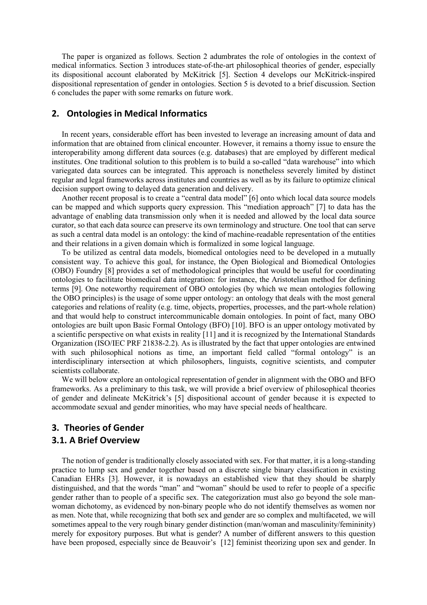The paper is organized as follows. Section 2 adumbrates the role of ontologies in the context of medical informatics. Section 3 introduces state-of-the-art philosophical theories of gender, especially its dispositional account elaborated by McKitrick [5]. Section 4 develops our McKitrick-inspired dispositional representation of gender in ontologies. Section 5 is devoted to a brief discussion. Section 6 concludes the paper with some remarks on future work.

### **2. Ontologies in Medical Informatics**

In recent years, considerable effort has been invested to leverage an increasing amount of data and information that are obtained from clinical encounter. However, it remains a thorny issue to ensure the interoperability among different data sources (e.g. databases) that are employed by different medical institutes. One traditional solution to this problem is to build a so-called "data warehouse" into which variegated data sources can be integrated. This approach is nonetheless severely limited by distinct regular and legal frameworks across institutes and countries as well as by its failure to optimize clinical decision support owing to delayed data generation and delivery.

Another recent proposal is to create a "central data model" [6] onto which local data source models can be mapped and which supports query expression. This "mediation approach" [7] to data has the advantage of enabling data transmission only when it is needed and allowed by the local data source curator, so that each data source can preserve its own terminology and structure. One tool that can serve as such a central data model is an ontology: the kind of machine-readable representation of the entities and their relations in a given domain which is formalized in some logical language.

To be utilized as central data models, biomedical ontologies need to be developed in a mutually consistent way. To achieve this goal, for instance, the Open Biological and Biomedical Ontologies (OBO) Foundry [8] provides a set of methodological principles that would be useful for coordinating ontologies to facilitate biomedical data integration: for instance, the Aristotelian method for defining terms [9]. One noteworthy requirement of OBO ontologies (by which we mean ontologies following the OBO principles) is the usage of some upper ontology: an ontology that deals with the most general categories and relations of reality (e.g. time, objects, properties, processes, and the part-whole relation) and that would help to construct intercommunicable domain ontologies. In point of fact, many OBO ontologies are built upon Basic Formal Ontology (BFO) [10]. BFO is an upper ontology motivated by a scientific perspective on what exists in reality [11] and it is recognized by the International Standards Organization (ISO/IEC PRF 21838-2.2). As is illustrated by the fact that upper ontologies are entwined with such philosophical notions as time, an important field called "formal ontology" is an interdisciplinary intersection at which philosophers, linguists, cognitive scientists, and computer scientists collaborate.

We will below explore an ontological representation of gender in alignment with the OBO and BFO frameworks. As a preliminary to this task, we will provide a brief overview of philosophical theories of gender and delineate McKitrick's [5] dispositional account of gender because it is expected to accommodate sexual and gender minorities, who may have special needs of healthcare.

## **3. Theories of Gender 3.1. A Brief Overview**

The notion of gender is traditionally closely associated with sex. For that matter, it is a long-standing practice to lump sex and gender together based on a discrete single binary classification in existing Canadian EHRs [3]. However, it is nowadays an established view that they should be sharply distinguished, and that the words "man" and "woman" should be used to refer to people of a specific gender rather than to people of a specific sex. The categorization must also go beyond the sole manwoman dichotomy, as evidenced by non-binary people who do not identify themselves as women nor as men. Note that, while recognizing that both sex and gender are so complex and multifaceted, we will sometimes appeal to the very rough binary gender distinction (man/woman and masculinity/femininity) merely for expository purposes. But what is gender? A number of different answers to this question have been proposed, especially since de Beauvoir's [12] feminist theorizing upon sex and gender. In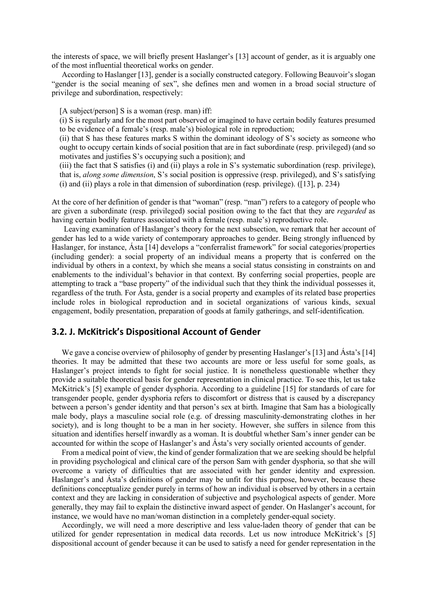the interests of space, we will briefly present Haslanger's [13] account of gender, as it is arguably one of the most influential theoretical works on gender.

According to Haslanger [13], gender is a socially constructed category. Following Beauvoir's slogan "gender is the social meaning of sex", she defines men and women in a broad social structure of privilege and subordination, respectively:

[A subject/person] S is a woman (resp. man) iff:

(i) S is regularly and for the most part observed or imagined to have certain bodily features presumed to be evidence of a female's (resp. male's) biological role in reproduction;

(ii) that S has these features marks S within the dominant ideology of S's society as someone who ought to occupy certain kinds of social position that are in fact subordinate (resp. privileged) (and so motivates and justifies S's occupying such a position); and

(iii) the fact that S satisfies (i) and (ii) plays a role in S's systematic subordination (resp. privilege), that is, *along some dimension*, S's social position is oppressive (resp. privileged), and S's satisfying (i) and (ii) plays a role in that dimension of subordination (resp. privilege). ([13], p. 234)

At the core of her definition of gender is that "woman" (resp. "man") refers to a category of people who are given a subordinate (resp. privileged) social position owing to the fact that they are *regarded* as having certain bodily features associated with a female (resp. male's) reproductive role.

Leaving examination of Haslanger's theory for the next subsection, we remark that her account of gender has led to a wide variety of contemporary approaches to gender. Being strongly influenced by Haslanger, for instance, Ásta [14] develops a "conferralist framework" for social categories/properties (including gender): a social property of an individual means a property that is conferred on the individual by others in a context, by which she means a social status consisting in constraints on and enablements to the individual's behavior in that context. By conferring social properties, people are attempting to track a "base property" of the individual such that they think the individual possesses it, regardless of the truth. For Ásta, gender is a social property and examples of its related base properties include roles in biological reproduction and in societal organizations of various kinds, sexual engagement, bodily presentation, preparation of goods at family gatherings, and self-identification.

### **3.2. J. McKitrick's Dispositional Account of Gender**

We gave a concise overview of philosophy of gender by presenting Haslanger's [13] and Ásta's [14] theories. It may be admitted that these two accounts are more or less useful for some goals, as Haslanger's project intends to fight for social justice. It is nonetheless questionable whether they provide a suitable theoretical basis for gender representation in clinical practice. To see this, let us take McKitrick's [5] example of gender dysphoria. According to a guideline [15] for standards of care for transgender people, gender dysphoria refers to discomfort or distress that is caused by a discrepancy between a person's gender identity and that person's sex at birth. Imagine that Sam has a biologically male body, plays a masculine social role (e.g. of dressing masculinity-demonstrating clothes in her society), and is long thought to be a man in her society. However, she suffers in silence from this situation and identifies herself inwardly as a woman. It is doubtful whether Sam's inner gender can be accounted for within the scope of Haslanger's and Ásta's very socially oriented accounts of gender.

From a medical point of view, the kind of gender formalization that we are seeking should be helpful in providing psychological and clinical care of the person Sam with gender dysphoria, so that she will overcome a variety of difficulties that are associated with her gender identity and expression. Haslanger's and Ásta's definitions of gender may be unfit for this purpose, however, because these definitions conceptualize gender purely in terms of how an individual is observed by others in a certain context and they are lacking in consideration of subjective and psychological aspects of gender. More generally, they may fail to explain the distinctive inward aspect of gender. On Haslanger's account, for instance, we would have no man/woman distinction in a completely gender-equal society.

Accordingly, we will need a more descriptive and less value-laden theory of gender that can be utilized for gender representation in medical data records. Let us now introduce McKitrick's [5] dispositional account of gender because it can be used to satisfy a need for gender representation in the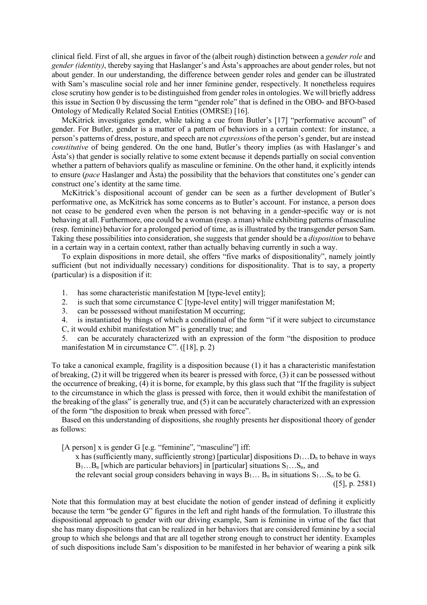clinical field. First of all, she argues in favor of the (albeit rough) distinction between a *gender role* and *gender (identity)*, thereby saying that Haslanger's and Ásta's approaches are about gender roles, but not about gender. In our understanding, the difference between gender roles and gender can be illustrated with Sam's masculine social role and her inner feminine gender, respectively. It nonetheless requires close scrutiny how gender is to be distinguished from gender roles in ontologies. We will briefly address this issue in Section 0 by discussing the term "gender role" that is defined in the OBO- and BFO-based Ontology of Medically Related Social Entities (OMRSE) [16].

McKitrick investigates gender, while taking a cue from Butler's [17] "performative account" of gender. For Butler, gender is a matter of a pattern of behaviors in a certain context: for instance, a person's patterns of dress, posture, and speech are not *expressions* of the person's gender, but are instead *constitutive* of being gendered. On the one hand, Butler's theory implies (as with Haslanger's and Ásta's) that gender is socially relative to some extent because it depends partially on social convention whether a pattern of behaviors qualify as masculine or feminine. On the other hand, it explicitly intends to ensure (*pace* Haslanger and Ásta) the possibility that the behaviors that constitutes one's gender can construct one's identity at the same time.

McKitrick's dispositional account of gender can be seen as a further development of Butler's performative one, as McKitrick has some concerns as to Butler's account. For instance, a person does not cease to be gendered even when the person is not behaving in a gender-specific way or is not behaving at all. Furthermore, one could be a woman (resp. a man) while exhibiting patterns of masculine (resp. feminine) behavior for a prolonged period of time, as is illustrated by the transgender person Sam. Taking these possibilities into consideration, she suggests that gender should be a *disposition* to behave in a certain way in a certain context, rather than actually behaving currently in such a way.

To explain dispositions in more detail, she offers "five marks of dispositionality", namely jointly sufficient (but not individually necessary) conditions for dispositionality. That is to say, a property (particular) is a disposition if it:

- 1. has some characteristic manifestation M [type-level entity];
- 2. is such that some circumstance C [type-level entity] will trigger manifestation M;
- 3. can be possessed without manifestation M occurring;
- 4. is instantiated by things of which a conditional of the form "if it were subject to circumstance
- C, it would exhibit manifestation M" is generally true; and

5. can be accurately characterized with an expression of the form "the disposition to produce manifestation M in circumstance C". ([18], p. 2)

To take a canonical example, fragility is a disposition because (1) it has a characteristic manifestation of breaking, (2) it will be triggered when its bearer is pressed with force, (3) it can be possessed without the occurrence of breaking, (4) it is borne, for example, by this glass such that "If the fragility is subject to the circumstance in which the glass is pressed with force, then it would exhibit the manifestation of the breaking of the glass" is generally true, and (5) it can be accurately characterized with an expression of the form "the disposition to break when pressed with force".

Based on this understanding of dispositions, she roughly presents her dispositional theory of gender as follows:

[A person] x is gender G [e.g. "feminine", "masculine"] iff:

x has (sufficiently many, sufficiently strong) [particular] dispositions  $D_1...D_n$  to behave in ways  $B_1...B_n$  [which are particular behaviors] in [particular] situations  $S_1...S_n$ , and

the relevant social group considers behaving in ways  $B_1 \dots B_n$  in situations  $S_1 \dots S_n$  to be G.

([5], p. 2581)

Note that this formulation may at best elucidate the notion of gender instead of defining it explicitly because the term "be gender G" figures in the left and right hands of the formulation. To illustrate this dispositional approach to gender with our driving example, Sam is feminine in virtue of the fact that she has many dispositions that can be realized in her behaviors that are considered feminine by a social group to which she belongs and that are all together strong enough to construct her identity. Examples of such dispositions include Sam's disposition to be manifested in her behavior of wearing a pink silk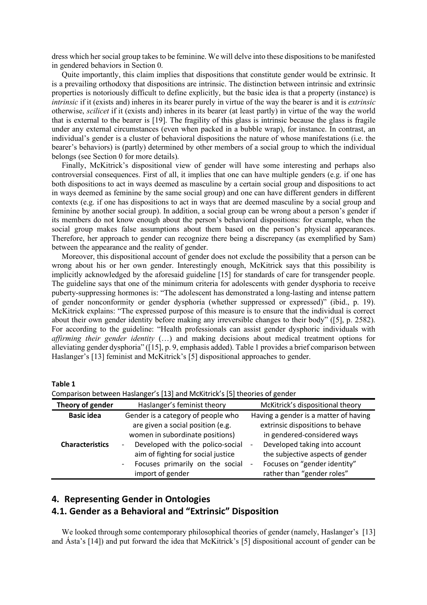dress which her social group takes to be feminine. We will delve into these dispositions to be manifested in gendered behaviors in Section 0.

Quite importantly, this claim implies that dispositions that constitute gender would be extrinsic. It is a prevailing orthodoxy that dispositions are intrinsic. The distinction between intrinsic and extrinsic properties is notoriously difficult to define explicitly, but the basic idea is that a property (instance) is *intrinsic* if it (exists and) inheres in its bearer purely in virtue of the way the bearer is and it is *extrinsic* otherwise, *scilicet* if it (exists and) inheres in its bearer (at least partly) in virtue of the way the world that is external to the bearer is [19]. The fragility of this glass is intrinsic because the glass is fragile under any external circumstances (even when packed in a bubble wrap), for instance. In contrast, an individual's gender is a cluster of behavioral dispositions the nature of whose manifestations (i.e. the bearer's behaviors) is (partly) determined by other members of a social group to which the individual belongs (see Section 0 for more details).

Finally, McKitrick's dispositional view of gender will have some interesting and perhaps also controversial consequences. First of all, it implies that one can have multiple genders (e.g. if one has both dispositions to act in ways deemed as masculine by a certain social group and dispositions to act in ways deemed as feminine by the same social group) and one can have different genders in different contexts (e.g. if one has dispositions to act in ways that are deemed masculine by a social group and feminine by another social group). In addition, a social group can be wrong about a person's gender if its members do not know enough about the person's behavioral dispositions: for example, when the social group makes false assumptions about them based on the person's physical appearances. Therefore, her approach to gender can recognize there being a discrepancy (as exemplified by Sam) between the appearance and the reality of gender.

Moreover, this dispositional account of gender does not exclude the possibility that a person can be wrong about his or her own gender. Interestingly enough, McKitrick says that this possibility is implicitly acknowledged by the aforesaid guideline [15] for standards of care for transgender people. The guideline says that one of the minimum criteria for adolescents with gender dysphoria to receive puberty-suppressing hormones is: "The adolescent has demonstrated a long-lasting and intense pattern of gender nonconformity or gender dysphoria (whether suppressed or expressed)" (ibid., p. 19). McKitrick explains: "The expressed purpose of this measure is to ensure that the individual is correct about their own gender identity before making any irreversible changes to their body" ([5], p. 2582). For according to the guideline: "Health professionals can assist gender dysphoric individuals with *affirming their gender identity* (…) and making decisions about medical treatment options for alleviating gender dysphoria" ([15], p. 9, emphasis added). Table 1 provides a brief comparison between Haslanger's [13] feminist and McKitrick's [5] dispositional approaches to gender.

**Table 1**

Comparison between Haslanger's [13] and McKitrick's [5] theories of gender

| Theory of gender       | Haslanger's feminist theory                                                                                                                                                                                              | McKitrick's dispositional theory                                                                                                                                                                                           |
|------------------------|--------------------------------------------------------------------------------------------------------------------------------------------------------------------------------------------------------------------------|----------------------------------------------------------------------------------------------------------------------------------------------------------------------------------------------------------------------------|
| <b>Basic idea</b>      | Gender is a category of people who<br>are given a social position (e.g.                                                                                                                                                  | Having a gender is a matter of having<br>extrinsic dispositions to behave                                                                                                                                                  |
| <b>Characteristics</b> | women in subordinate positions)<br>Developed with the polico-social<br>$\overline{\phantom{a}}$<br>aim of fighting for social justice<br>Focuses primarily on the social<br>$\overline{\phantom{a}}$<br>import of gender | in gendered-considered ways<br>Developed taking into account<br>$\overline{\phantom{a}}$<br>the subjective aspects of gender<br>Focuses on "gender identity"<br>$\qquad \qquad \blacksquare$<br>rather than "gender roles" |

## **4. Representing Gender in Ontologies 4.1. Gender as a Behavioral and "Extrinsic" Disposition**

We looked through some contemporary philosophical theories of gender (namely, Haslanger's [13] and Ásta's [14]) and put forward the idea that McKitrick's [5] dispositional account of gender can be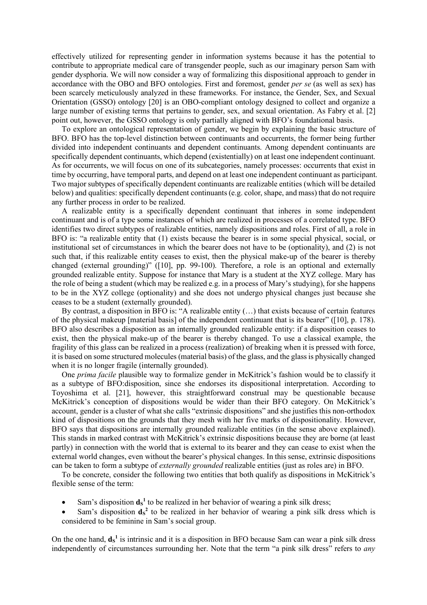effectively utilized for representing gender in information systems because it has the potential to contribute to appropriate medical care of transgender people, such as our imaginary person Sam with gender dysphoria. We will now consider a way of formalizing this dispositional approach to gender in accordance with the OBO and BFO ontologies. First and foremost, gender *per se* (as well as sex) has been scarcely meticulously analyzed in these frameworks. For instance, the Gender, Sex, and Sexual Orientation (GSSO) ontology [20] is an OBO-compliant ontology designed to collect and organize a large number of existing terms that pertains to gender, sex, and sexual orientation. As Fabry et al. [2] point out, however, the GSSO ontology is only partially aligned with BFO's foundational basis.

To explore an ontological representation of gender, we begin by explaining the basic structure of BFO. BFO has the top-level distinction between continuants and occurrents, the former being further divided into independent continuants and dependent continuants. Among dependent continuants are specifically dependent continuants, which depend (existentially) on at least one independent continuant. As for occurrents, we will focus on one of its subcategories, namely processes: occurrents that exist in time by occurring, have temporal parts, and depend on at least one independent continuant as participant. Two major subtypes of specifically dependent continuants are realizable entities (which will be detailed below) and qualities: specifically dependent continuants (e.g. color, shape, and mass) that do not require any further process in order to be realized.

A realizable entity is a specifically dependent continuant that inheres in some independent continuant and is of a type some instances of which are realized in processes of a correlated type. BFO identifies two direct subtypes of realizable entities, namely dispositions and roles. First of all, a role in BFO is: "a realizable entity that (1) exists because the bearer is in some special physical, social, or institutional set of circumstances in which the bearer does not have to be (optionality), and (2) is not such that, if this realizable entity ceases to exist, then the physical make-up of the bearer is thereby changed (external grounding)" ([10], pp. 99-100). Therefore, a role is an optional and externally grounded realizable entity. Suppose for instance that Mary is a student at the XYZ college. Mary has the role of being a student (which may be realized e.g. in a process of Mary's studying), for she happens to be in the XYZ college (optionality) and she does not undergo physical changes just because she ceases to be a student (externally grounded).

By contrast, a disposition in BFO is: "A realizable entity (…) that exists because of certain features of the physical makeup [material basis] of the independent continuant that is its bearer" ([10], p. 178). BFO also describes a disposition as an internally grounded realizable entity: if a disposition ceases to exist, then the physical make-up of the bearer is thereby changed. To use a classical example, the fragility of this glass can be realized in a process (realization) of breaking when it is pressed with force, it is based on some structured molecules (material basis) of the glass, and the glass is physically changed when it is no longer fragile (internally grounded).

One *prima facile* plausible way to formalize gender in McKitrick's fashion would be to classify it as a subtype of BFO:disposition, since she endorses its dispositional interpretation. According to Toyoshima et al. [21], however, this straightforward construal may be questionable because McKitrick's conception of dispositions would be wider than their BFO category. On McKitrick's account, gender is a cluster of what she calls "extrinsic dispositions" and she justifies this non-orthodox kind of dispositions on the grounds that they mesh with her five marks of dispositionality. However, BFO says that dispositions are internally grounded realizable entities (in the sense above explained). This stands in marked contrast with McKitrick's extrinsic dispositions because they are borne (at least partly) in connection with the world that is external to its bearer and they can cease to exist when the external world changes, even without the bearer's physical changes. In this sense, extrinsic dispositions can be taken to form a subtype of *externally grounded* realizable entities (just as roles are) in BFO.

To be concrete, consider the following two entities that both qualify as dispositions in McKitrick's flexible sense of the term:

- Sam's disposition  $\mathbf{d}_s^1$  to be realized in her behavior of wearing a pink silk dress;
- Sam's disposition  $d_s^2$  to be realized in her behavior of wearing a pink silk dress which is considered to be feminine in Sam's social group.

On the one hand,  $\mathbf{d}_s^1$  is intrinsic and it is a disposition in BFO because Sam can wear a pink silk dress independently of circumstances surrounding her. Note that the term "a pink silk dress" refers to *any*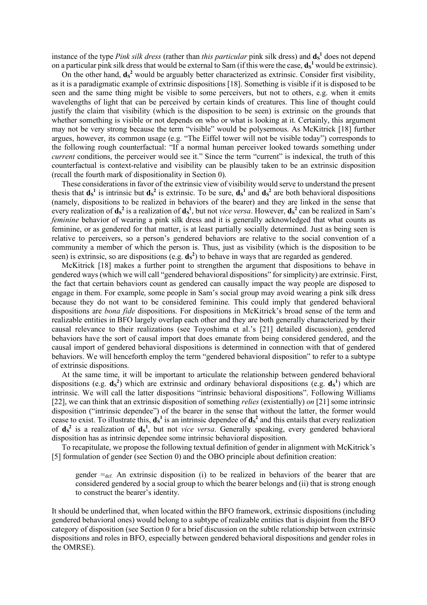instance of the type *Pink silk dress* (rather than *this particular* pink silk dress) and  $\mathbf{d_s}^1$  does not depend on a particular pink silk dress that would be external to Sam (if this were the case,  $\mathbf{d_s}^1$  would be extrinsic).

On the other hand,  $ds^2$  would be arguably better characterized as extrinsic. Consider first visibility, as it is a paradigmatic example of extrinsic dispositions [18]. Something is visible if it is disposed to be seen and the same thing might be visible to some perceivers, but not to others, e.g. when it emits wavelengths of light that can be perceived by certain kinds of creatures. This line of thought could justify the claim that visibility (which is the disposition to be seen) is extrinsic on the grounds that whether something is visible or not depends on who or what is looking at it. Certainly, this argument may not be very strong because the term "visible" would be polysemous. As McKitrick [18] further argues, however, its common usage (e.g. "The Eiffel tower will not be visible today") corresponds to the following rough counterfactual: "If a normal human perceiver looked towards something under *current* conditions, the perceiver would see it." Since the term "current" is indexical, the truth of this counterfactual is context-relative and visibility can be plausibly taken to be an extrinsic disposition (recall the fourth mark of dispositionality in Section 0).

These considerations in favor of the extrinsic view of visibility would serve to understand the present thesis that  $d_s^1$  is intrinsic but  $d_s^2$  is extrinsic. To be sure,  $d_s^1$  and  $d_s^2$  are both behavioral dispositions (namely, dispositions to be realized in behaviors of the bearer) and they are linked in the sense that every realization of  $d_s^2$  is a realization of  $d_s^1$ , but not *vice versa*. However,  $d_s^2$  can be realized in Sam's *feminine* behavior of wearing a pink silk dress and it is generally acknowledged that what counts as feminine, or as gendered for that matter, is at least partially socially determined. Just as being seen is relative to perceivers, so a person's gendered behaviors are relative to the social convention of a community a member of which the person is. Thus, just as visibility (which is the disposition to be seen) is extrinsic, so are dispositions  $(e.g. ds^2)$  to behave in ways that are regarded as gendered.

McKitrick [18] makes a further point to strengthen the argument that dispositions to behave in gendered ways (which we will call "gendered behavioral dispositions" for simplicity) are extrinsic. First, the fact that certain behaviors count as gendered can causally impact the way people are disposed to engage in them. For example, some people in Sam's social group may avoid wearing a pink silk dress because they do not want to be considered feminine. This could imply that gendered behavioral dispositions are *bona fide* dispositions. For dispositions in McKitrick's broad sense of the term and realizable entities in BFO largely overlap each other and they are both generally characterized by their causal relevance to their realizations (see Toyoshima et al.'s [21] detailed discussion), gendered behaviors have the sort of causal import that does emanate from being considered gendered, and the causal import of gendered behavioral dispositions is determined in connection with that of gendered behaviors. We will henceforth employ the term "gendered behavioral disposition" to refer to a subtype of extrinsic dispositions.

At the same time, it will be important to articulate the relationship between gendered behavioral dispositions (e.g.  $d_s^2$ ) which are extrinsic and ordinary behavioral dispositions (e.g.  $d_s^1$ ) which are intrinsic. We will call the latter dispositions "intrinsic behavioral dispositions". Following Williams [22], we can think that an extrinsic disposition of something *relies* (existentially) *on* [21] some intrinsic disposition ("intrinsic dependee") of the bearer in the sense that without the latter, the former would cease to exist. To illustrate this,  $d_s^1$  is an intrinsic dependee of  $d_s^2$  and this entails that every realization of  $ds^2$  is a realization of  $ds^1$ , but not *vice versa*. Generally speaking, every gendered behavioral disposition has as intrinsic dependee some intrinsic behavioral disposition.

To recapitulate, we propose the following textual definition of gender in alignment with McKitrick's [5] formulation of gender (see Section 0) and the OBO principle about definition creation:

gender  $=_{def.}$  An extrinsic disposition (i) to be realized in behaviors of the bearer that are considered gendered by a social group to which the bearer belongs and (ii) that is strong enough to construct the bearer's identity.

It should be underlined that, when located within the BFO framework, extrinsic dispositions (including gendered behavioral ones) would belong to a subtype of realizable entities that is disjoint from the BFO category of disposition (see Section 0 for a brief discussion on the subtle relationship between extrinsic dispositions and roles in BFO, especially between gendered behavioral dispositions and gender roles in the OMRSE).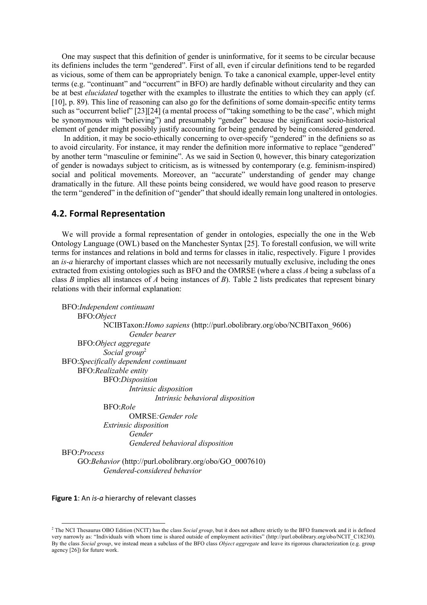One may suspect that this definition of gender is uninformative, for it seems to be circular because its definiens includes the term "gendered". First of all, even if circular definitions tend to be regarded as vicious, some of them can be appropriately benign. To take a canonical example, upper-level entity terms (e.g. "continuant" and "occurrent" in BFO) are hardly definable without circularity and they can be at best *elucidated* together with the examples to illustrate the entities to which they can apply (cf. [10], p. 89). This line of reasoning can also go for the definitions of some domain-specific entity terms such as "occurrent belief" [23][24] (a mental process of "taking something to be the case", which might be synonymous with "believing") and presumably "gender" because the significant socio-historical element of gender might possibly justify accounting for being gendered by being considered gendered.

In addition, it may be socio-ethically concerning to over-specify "gendered" in the definiens so as to avoid circularity. For instance, it may render the definition more informative to replace "gendered" by another term "masculine or feminine". As we said in Section 0, however, this binary categorization of gender is nowadays subject to criticism, as is witnessed by contemporary (e.g. feminism-inspired) social and political movements. Moreover, an "accurate" understanding of gender may change dramatically in the future. All these points being considered, we would have good reason to preserve the term "gendered" in the definition of "gender" that should ideally remain long unaltered in ontologies.

#### **4.2. Formal Representation**

We will provide a formal representation of gender in ontologies, especially the one in the Web Ontology Language (OWL) based on the Manchester Syntax [25]. To forestall confusion, we will write terms for instances and relations in bold and terms for classes in italic, respectively. Figure 1 provides an *is-a* hierarchy of important classes which are not necessarily mutually exclusive, including the ones extracted from existing ontologies such as BFO and the OMRSE (where a class *A* being a subclass of a class *B* implies all instances of *A* being instances of *B*). Table 2 lists predicates that represent binary relations with their informal explanation:

```
BFO:Independent continuant
    BFO:Object
            NCIBTaxon:Homo sapiens (http://purl.obolibrary.org/obo/NCBITaxon_9606)
                    Gender bearer
    BFO:Object aggregate
            Social group<sup>2</sup>
BFO:Specifically dependent continuant
    BFO:Realizable entity
            BFO:Disposition
                    Intrinsic disposition
                           Intrinsic behavioral disposition
            BFO:Role
                    OMRSE:Gender role
            Extrinsic disposition
                    Gender
                    Gendered behavioral disposition
BFO:Process
    GO:Behavior (http://purl.obolibrary.org/obo/GO_0007610)
            Gendered-considered behavior
```
**Figure 1**: An *is-a* hierarchy of relevant classes

<sup>&</sup>lt;sup>2</sup> The NCI Thesaurus OBO Edition (NCIT) has the class *Social group*, but it does not adhere strictly to the BFO framework and it is defined very narrowly as: "Individuals with whom time is shared outside of employment activities" (http://purl.obolibrary.org/obo/NCIT\_C18230). By the class *Social group*, we instead mean a subclass of the BFO class *Object aggregate* and leave its rigorous characterization (e.g. group agency [26]) for future work.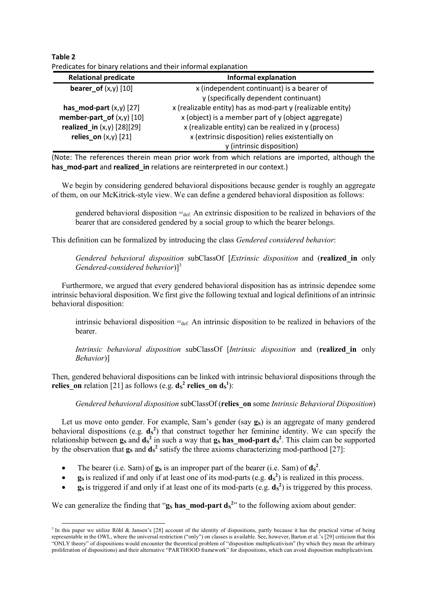**Table 2** Predicates for binary relations and their informal explanation

| <b>Relational predicate</b>  | <b>Informal explanation</b>                                 |
|------------------------------|-------------------------------------------------------------|
| bearer_of $(x,y)$ [10]       | x (independent continuant) is a bearer of                   |
|                              | y (specifically dependent continuant)                       |
| has mod-part $(x,y)$ [27]    | x (realizable entity) has as mod-part y (realizable entity) |
| member-part_of $(x,y)$ [10]  | x (object) is a member part of y (object aggregate)         |
| realized_in $(x,y)$ [28][29] | x (realizable entity) can be realized in y (process)        |
| relies on $(x,y)$ [21]       | x (extrinsic disposition) relies existentially on           |
|                              | y (intrinsic disposition)                                   |

(Note: The references therein mean prior work from which relations are imported, although the has mod-part and realized in relations are reinterpreted in our context.)

We begin by considering gendered behavioral dispositions because gender is roughly an aggregate of them, on our McKitrick-style view. We can define a gendered behavioral disposition as follows:

gendered behavioral disposition  $=_{def} A_n$  extrinsic disposition to be realized in behaviors of the bearer that are considered gendered by a social group to which the bearer belongs.

This definition can be formalized by introducing the class *Gendered considered behavior*:

*Gendered behavioral disposition* subClassOf [*Extrinsic disposition* and (**realized\_in** only *Gendered-considered behavior*)<sup>13</sup>

Furthermore, we argued that every gendered behavioral disposition has as intrinsic dependee some intrinsic behavioral disposition. We first give the following textual and logical definitions of an intrinsic behavioral disposition:

intrinsic behavioral disposition  $=_{def}$  An intrinsic disposition to be realized in behaviors of the **bearer** 

*Intrinsic behavioral disposition* subClassOf [*Intrinsic disposition* and (**realized\_in** only *Behavior*)]

Then, gendered behavioral dispositions can be linked with intrinsic behavioral dispositions through the **relies\_on** relation [21] as follows (e.g.  $ds^2$  **relies\_on**  $ds^1$ ):

*Gendered behavioral disposition* subClassOf (**relies\_on** some *Intrinsic Behavioral Disposition*)

Let us move onto gender. For example, Sam's gender (say  $g_S$ ) is an aggregate of many gendered behavioral dispositions (e.g.  $\mathbf{d_s}^2$ ) that construct together her feminine identity. We can specify the relationship between  $g_s$  and  $d_s^2$  in such a way that  $g_s$  has mod-part  $d_s^2$ . This claim can be supported by the observation that  $\mathbf{g}_s$  and  $\mathbf{d_s}^2$  satisfy the three axioms characterizing mod-parthood [27]:

- The bearer (i.e. Sam) of  $\mathbf{g}_s$  is an improper part of the bearer (i.e. Sam) of  $\mathbf{d_s}^2$ .
- **g**s is realized if and only if at least one of its mod-parts (e.g.  $ds^2$ ) is realized in this process.
- **g**s is triggered if and only if at least one of its mod-parts (e.g.  $ds^2$ ) is triggered by this process.

We can generalize the finding that " $\mathbf{g}_s$  **has\_mod-part**  $\mathbf{d_s}^2$ " to the following axiom about gender:

<sup>&</sup>lt;sup>3</sup> In this paper we utilize Röhl & Jansen's [28] account of the identity of dispositions, partly because it has the practical virtue of being representable in the OWL, where the universal restriction ("only") on classes is available. See, however, Barton et al.'s [29] criticism that this "ONLY theory" of dispositions would encounter the theoretical problem of "disposition multiplicativism" (by which they mean the arbitrary proliferation of dispositions) and their alternative "PARTHOOD framework" for dispositions, which can avoid disposition multiplicativism.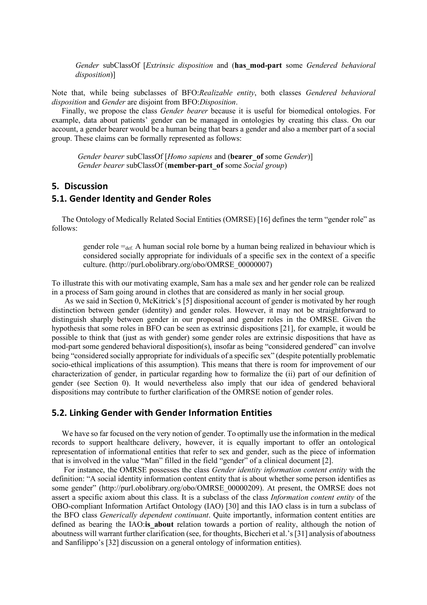*Gender* subClassOf [*Extrinsic disposition* and (**has\_mod-part** some *Gendered behavioral disposition*)]

Note that, while being subclasses of BFO:*Realizable entity*, both classes *Gendered behavioral disposition* and *Gender* are disjoint from BFO:*Disposition*.

Finally, we propose the class *Gender bearer* because it is useful for biomedical ontologies. For example, data about patients' gender can be managed in ontologies by creating this class. On our account, a gender bearer would be a human being that bears a gender and also a member part of a social group. These claims can be formally represented as follows:

*Gender bearer* subClassOf [*Homo sapiens* and (**bearer\_of** some *Gender*)] *Gender bearer* subClassOf (**member-part\_of** some *Social group*)

## **5. Discussion**

## **5.1. Gender Identity and Gender Roles**

The Ontology of Medically Related Social Entities (OMRSE) [16] defines the term "gender role" as follows:

gender role  $=_{def.} A$  human social role borne by a human being realized in behaviour which is considered socially appropriate for individuals of a specific sex in the context of a specific culture. (http://purl.obolibrary.org/obo/OMRSE\_00000007)

To illustrate this with our motivating example, Sam has a male sex and her gender role can be realized in a process of Sam going around in clothes that are considered as manly in her social group.

As we said in Section 0, McKitrick's [5] dispositional account of gender is motivated by her rough distinction between gender (identity) and gender roles. However, it may not be straightforward to distinguish sharply between gender in our proposal and gender roles in the OMRSE. Given the hypothesis that some roles in BFO can be seen as extrinsic dispositions [21], for example, it would be possible to think that (just as with gender) some gender roles are extrinsic dispositions that have as mod-part some gendered behavioral disposition(s), insofar as being "considered gendered" can involve being "considered socially appropriate for individuals of a specific sex" (despite potentially problematic socio-ethical implications of this assumption). This means that there is room for improvement of our characterization of gender, in particular regarding how to formalize the (ii) part of our definition of gender (see Section 0). It would nevertheless also imply that our idea of gendered behavioral dispositions may contribute to further clarification of the OMRSE notion of gender roles.

### **5.2. Linking Gender with Gender Information Entities**

We have so far focused on the very notion of gender. To optimally use the information in the medical records to support healthcare delivery, however, it is equally important to offer an ontological representation of informational entities that refer to sex and gender, such as the piece of information that is involved in the value "Man" filled in the field "gender" of a clinical document [2].

For instance, the OMRSE possesses the class *Gender identity information content entity* with the definition: "A social identity information content entity that is about whether some person identifies as some gender" (http://purl.obolibrary.org/obo/OMRSE\_00000209). At present, the OMRSE does not assert a specific axiom about this class. It is a subclass of the class *Information content entity* of the OBO-compliant Information Artifact Ontology (IAO) [30] and this IAO class is in turn a subclass of the BFO class *Generically dependent continuant*. Quite importantly, information content entities are defined as bearing the IAO:**is\_about** relation towards a portion of reality, although the notion of aboutness will warrant further clarification (see, for thoughts, Biccheri et al.'s [31] analysis of aboutness and Sanfilippo's [32] discussion on a general ontology of information entities).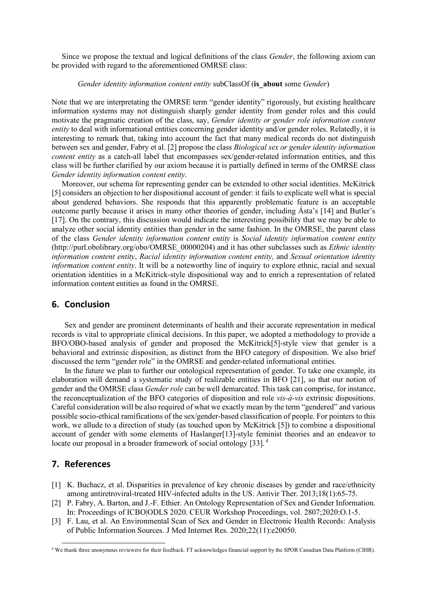Since we propose the textual and logical definitions of the class *Gender*, the following axiom can be provided with regard to the aforementioned OMRSE class:

#### *Gender identity information content entity* subClassOf (**is\_about** some *Gender*)

Note that we are interpretating the OMRSE term "gender identity" rigorously, but existing healthcare information systems may not distinguish sharply gender identity from gender roles and this could motivate the pragmatic creation of the class, say, *Gender identity or gender role information content entity* to deal with informational entities concerning gender identity and/or gender roles. Relatedly, it is interesting to remark that, taking into account the fact that many medical records do not distinguish between sex and gender, Fabry et al. [2] propose the class *Biological sex or gender identity information content entity* as a catch-all label that encompasses sex/gender-related information entities, and this class will be further clarified by our axiom because it is partially defined in terms of the OMRSE class *Gender identity information content entity*.

Moreover, our schema for representing gender can be extended to other social identities. McKitrick [5] considers an objection to her dispositional account of gender: it fails to explicate well what is special about gendered behaviors. She responds that this apparently problematic feature is an acceptable outcome partly because it arises in many other theories of gender, including Ásta's [14] and Butler's [17]. On the contrary, this discussion would indicate the interesting possibility that we may be able to analyze other social identity entities than gender in the same fashion. In the OMRSE, the parent class of the class *Gender identity information content entity* is *Social identity information content entity* (http://purl.obolibrary.org/obo/OMRSE\_00000204) and it has other subclasses such as *Ethnic identity information content entity*, *Racial identity information content entity,* and *Sexual orientation identity information content entity*. It will be a noteworthy line of inquiry to explore ethnic, racial and sexual orientation identities in a McKitrick-style dispositional way and to enrich a representation of related information content entities as found in the OMRSE.

### **6. Conclusion**

Sex and gender are prominent determinants of health and their accurate representation in medical records is vital to appropriate clinical decisions. In this paper, we adopted a methodology to provide a BFO/OBO-based analysis of gender and proposed the McKitrick[5]-style view that gender is a behavioral and extrinsic disposition, as distinct from the BFO category of disposition. We also brief discussed the term "gender role" in the OMRSE and gender-related informational entities.

In the future we plan to further our ontological representation of gender. To take one example, its elaboration will demand a systematic study of realizable entities in BFO [21], so that our notion of gender and the OMRSE class *Gender role* can be well demarcated. This task can comprise, for instance, the reconceptualization of the BFO categories of disposition and role *vis-à-vis* extrinsic dispositions. Careful consideration will be also required of what we exactly mean by the term "gendered" and various possible socio-ethical ramifications of the sex/gender-based classification of people. For pointers to this work, we allude to a direction of study (as touched upon by McKitrick [5]) to combine a dispositional account of gender with some elements of Haslanger[13]-style feminist theories and an endeavor to locate our proposal in a broader framework of social ontology [33].<sup>4</sup>

### **7. References**

- [1] K. Buchacz, et al. Disparities in prevalence of key chronic diseases by gender and race/ethnicity among antiretroviral-treated HIV-infected adults in the US. Antivir Ther. 2013;18(1):65-75.
- [2] P. Fabry, A. Barton, and J.-F. Ethier. An Ontology Representation of Sex and Gender Information. In: Proceedings of ICBO|ODLS 2020. CEUR Workshop Proceedings, vol. 2807;2020:O.1-5.
- [3] F. Lau, et al. An Environmental Scan of Sex and Gender in Electronic Health Records: Analysis of Public Information Sources. J Med Internet Res. 2020;22(11):e20050.

 <sup>4</sup> We thank three anonymous reviewers for their feedback. FT acknowledges financial support by the SPOR Canadian Data Platform (CIHR).